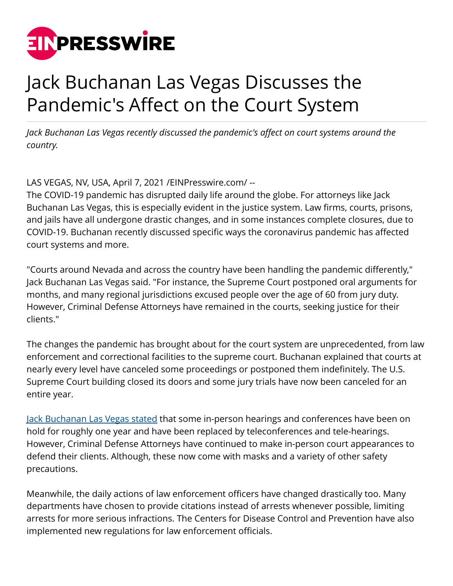

## Jack Buchanan Las Vegas Discusses the Pandemic's Affect on the Court System

*Jack Buchanan Las Vegas recently discussed the pandemic's affect on court systems around the country.*

LAS VEGAS, NV, USA, April 7, 2021 /[EINPresswire.com/](http://www.einpresswire.com) --

The COVID-19 pandemic has disrupted daily life around the globe. For attorneys like Jack Buchanan Las Vegas, this is especially evident in the justice system. Law firms, courts, prisons, and jails have all undergone drastic changes, and in some instances complete closures, due to COVID-19. Buchanan recently discussed specific ways the coronavirus pandemic has affected court systems and more.

"Courts around Nevada and across the country have been handling the pandemic differently," Jack Buchanan Las Vegas said. "For instance, the Supreme Court postponed oral arguments for months, and many regional jurisdictions excused people over the age of 60 from jury duty. However, Criminal Defense Attorneys have remained in the courts, seeking justice for their clients."

The changes the pandemic has brought about for the court system are unprecedented, from law enforcement and correctional facilities to the supreme court. Buchanan explained that courts at nearly every level have canceled some proceedings or postponed them indefinitely. The U.S. Supreme Court building closed its doors and some jury trials have now been canceled for an entire year.

[Jack Buchanan Las Vegas stated](https://medium.com/@jackbuchananlasvegas) that some in-person hearings and conferences have been on hold for roughly one year and have been replaced by teleconferences and tele-hearings. However, Criminal Defense Attorneys have continued to make in-person court appearances to defend their clients. Although, these now come with masks and a variety of other safety precautions.

Meanwhile, the daily actions of law enforcement officers have changed drastically too. Many departments have chosen to provide citations instead of arrests whenever possible, limiting arrests for more serious infractions. The Centers for Disease Control and Prevention have also implemented new regulations for law enforcement officials.